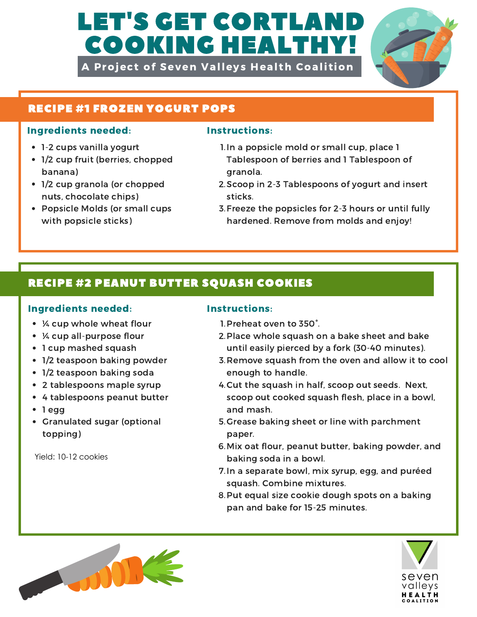# **LET'S GET CORTLANI** COOKING HEALTHY!

A Project of Seven Valleys Health Coalition



### RECIPE #1 FROZEN YOGURT POPS

### Ingredients needed: Instructions:

- 1-2 cups vanilla yogurt
- 1/2 cup fruit (berries, chopped banana)
- 1/2 cup granola (or chopped nuts, chocolate chips)
- Popsicle Molds (or small cups with popsicle sticks)

- 1. In a popsicle mold or small cup, place 1 Tablespoon of berries and 1 Tablespoon of granola.
- 2. Scoop in 2-3 Tablespoons of yogurt and insert sticks.
- 3. Freeze the popsicles for 2-3 hours or until fully hardened. Remove from molds and enjoy!

## RECIPE #2 PEANUT BUTTER SQUASH COOKIES

### Ingredients needed: Instructions:

- ¼ cup whole wheat flour
- ¼ cup all-purpose flour
- 1 cup mashed squash
- 1/2 teaspoon baking powder
- 1/2 teaspoon baking soda
- 2 tablespoons maple syrup
- 4 tablespoons peanut butter
- 1 egg
- Granulated sugar (optional topping)

Yield: 10-12 cookies

- 1. Preheat oven to  $350^\circ$ .
- 2. Place whole squash on a bake sheet and bake until easily pierced by a fork (30-40 minutes).
- 3. Remove squash from the oven and allow it to cool enough to handle.
- 4. Cut the squash in half, scoop out seeds. Next, scoop out cooked squash flesh, place in a bowl, and mash.
- 5. Grease baking sheet or line with parchment paper.
- 6. Mix oat flour, peanut butter, baking powder, and baking soda in a bowl.
- 7. In a separate bowl, mix syrup, egg, and puréed squash. Combine mixtures.
- 8. Put equal size cookie dough spots on a baking pan and bake for 15-25 minutes.



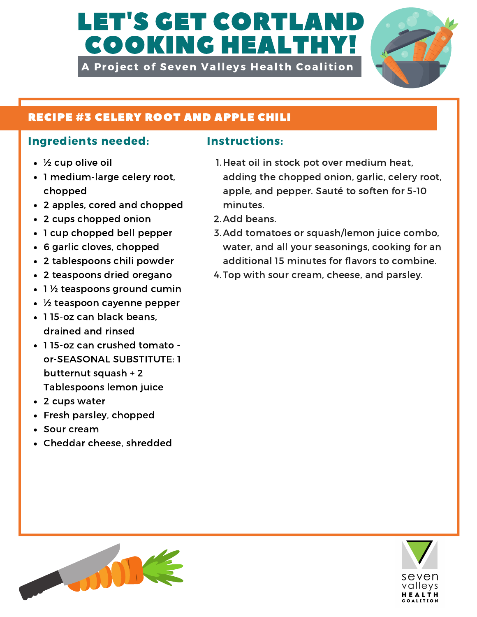# LET'S GET CORTLAI COOKING HEALTHY!

A Project of Seven Valleys Health Coalition



### RECIPE #3 CELERY ROOT AND APPLE CHILI

### Ingredients needed: Instructions:

- ½ cup olive oil
- 1 medium-large celery root, chopped
- 2 apples, cored and chopped
- 2 cups chopped onion
- 1 cup chopped bell pepper
- 6 garlic cloves, chopped
- 2 tablespoons chili powder
- 2 teaspoons dried oregano
- 1  $\frac{1}{2}$  teaspoons ground cumin
- ½ teaspoon cayenne pepper
- 115-oz can black beans. drained and rinsed
- 1 15-oz can crushed tomato or-SEASONAL SUBSTITUTE: 1 butternut squash + 2 Tablespoons lemon juice
- 2 cups water
- Fresh parsley, chopped
- Sour cream
- Cheddar cheese, shredded

- 1. Heat oil in stock pot over medium heat, adding the chopped onion, garlic, celery root, apple, and pepper. Sauté to soften for 5-10 minutes.
- 2. Add beans.
- 3. Add tomatoes or squash/lemon juice combo, water, and all your seasonings, cooking for an additional 15 minutes for flavors to combine.
- 4. Top with sour cream, cheese, and parsley.